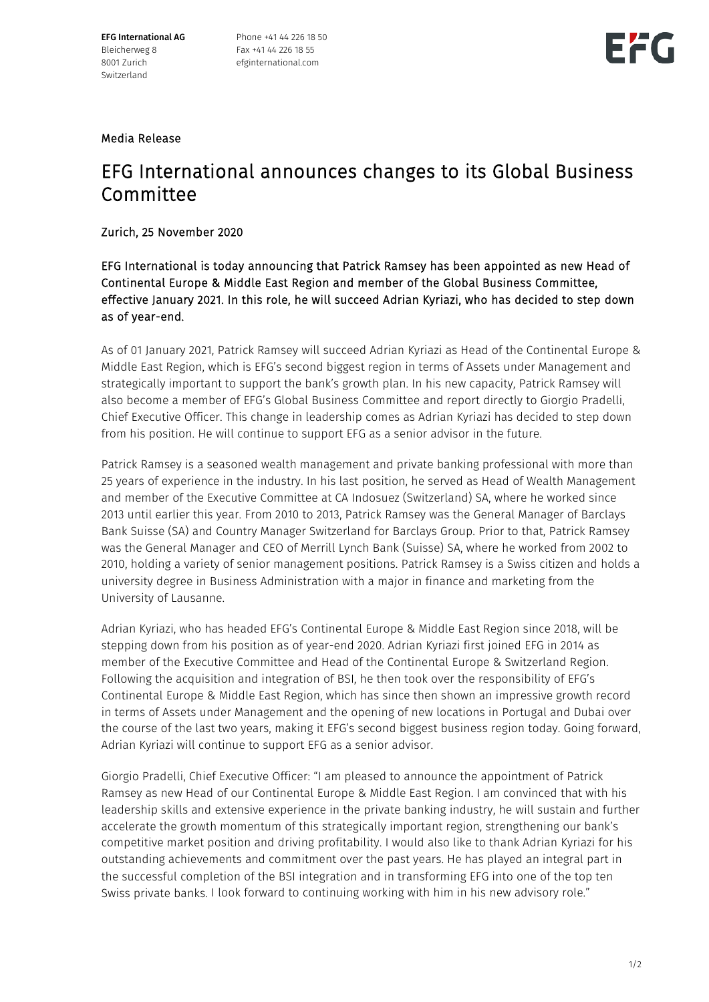EFG International AG Bleicherweg 8 8001 Zurich Switzerland

Phone +41 44 226 18 50 Fax +41 44 226 18 55 efginternational.com



#### Media Release

### EFG International announces changes to its Global Business Committee

#### Zurich, 25 November 2020

EFG International is today announcing that Patrick Ramsey has been appointed as new Head of Continental Europe & Middle East Region and member of the Global Business Committee, effective January 2021. In this role, he will succeed Adrian Kyriazi, who has decided to step down as of year-end.

As of 01 January 2021, Patrick Ramsey will succeed Adrian Kyriazi as Head of the Continental Europe & Middle East Region, which is EFG's second biggest region in terms of Assets under Management and strategically important to support the bank's growth plan. In his new capacity, Patrick Ramsey will also become a member of EFG's Global Business Committee and report directly to Giorgio Pradelli, Chief Executive Officer. This change in leadership comes as Adrian Kyriazi has decided to step down from his position. He will continue to support EFG as a senior advisor in the future.

Patrick Ramsey is a seasoned wealth management and private banking professional with more than 25 years of experience in the industry. In his last position, he served as Head of Wealth Management and member of the Executive Committee at CA Indosuez (Switzerland) SA, where he worked since 2013 until earlier this year. From 2010 to 2013, Patrick Ramsey was the General Manager of Barclays Bank Suisse (SA) and Country Manager Switzerland for Barclays Group. Prior to that, Patrick Ramsey was the General Manager and CEO of Merrill Lynch Bank (Suisse) SA, where he worked from 2002 to 2010, holding a variety of senior management positions. Patrick Ramsey is a Swiss citizen and holds a university degree in Business Administration with a major in finance and marketing from the University of Lausanne.

Adrian Kyriazi, who has headed EFG's Continental Europe & Middle East Region since 2018, will be stepping down from his position as of year-end 2020. Adrian Kyriazi first joined EFG in 2014 as member of the Executive Committee and Head of the Continental Europe & Switzerland Region. Following the acquisition and integration of BSI, he then took over the responsibility of EFG's Continental Europe & Middle East Region, which has since then shown an impressive growth record in terms of Assets under Management and the opening of new locations in Portugal and Dubai over the course of the last two years, making it EFG's second biggest business region today. Going forward, Adrian Kyriazi will continue to support EFG as a senior advisor.

Giorgio Pradelli, Chief Executive Officer: "I am pleased to announce the appointment of Patrick Ramsey as new Head of our Continental Europe & Middle East Region. I am convinced that with his leadership skills and extensive experience in the private banking industry, he will sustain and further accelerate the growth momentum of this strategically important region, strengthening our bank's competitive market position and driving profitability. I would also like to thank Adrian Kyriazi for his outstanding achievements and commitment over the past years. He has played an integral part in the successful completion of the BSI integration and in transforming EFG into one of the top ten Swiss private banks. I look forward to continuing working with him in his new advisory role."